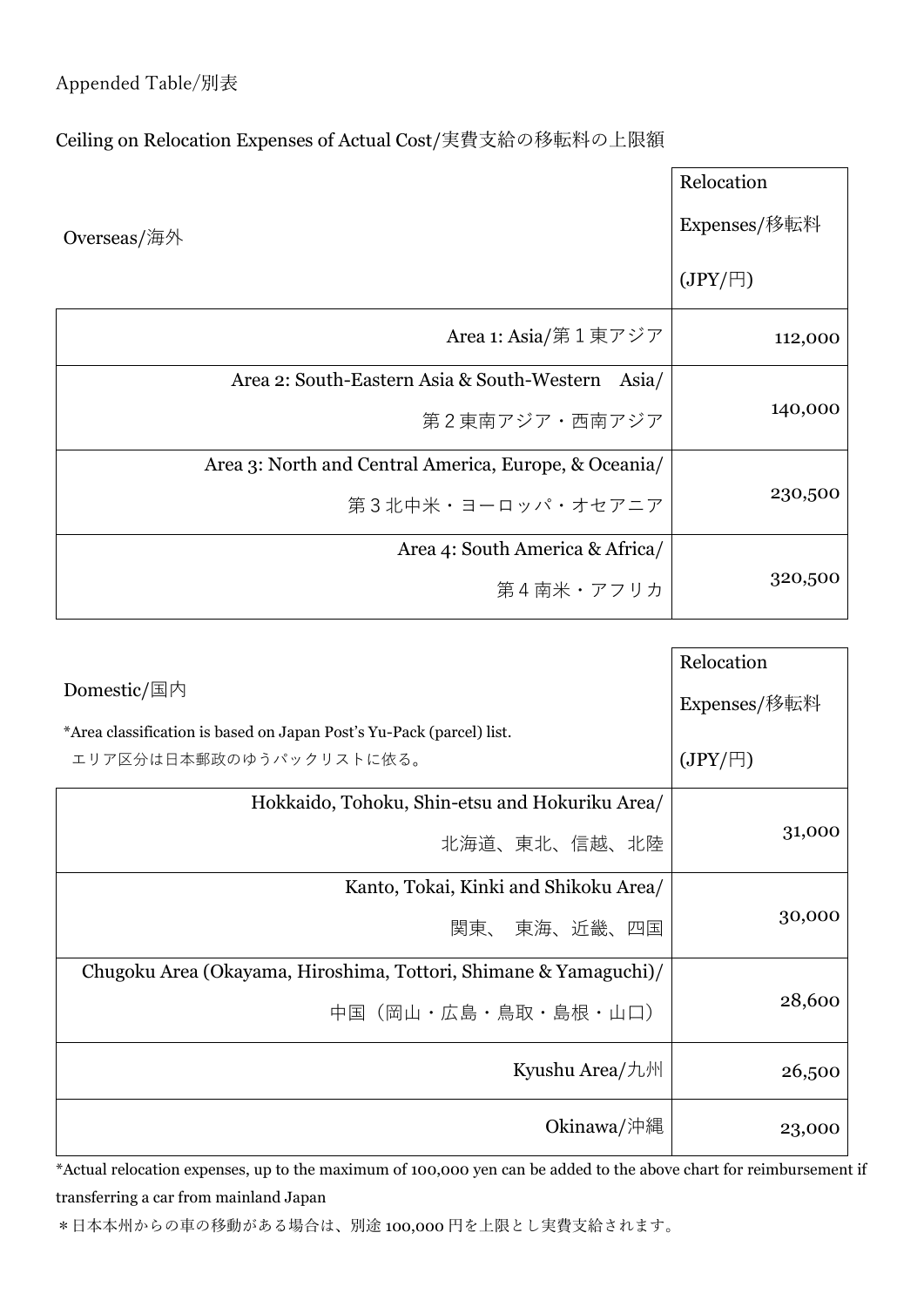## Appended Table/別表

## Ceiling on Relocation Expenses of Actual Cost/実費支給の移転料の上限額

|             |                                                       | Relocation      |  |
|-------------|-------------------------------------------------------|-----------------|--|
| Overseas/海外 |                                                       | Expenses/移転料    |  |
|             |                                                       | $(JPY/\square)$ |  |
|             | Area 1: Asia/第1東アジア                                   | 112,000         |  |
|             | Area 2: South-Eastern Asia & South-Western<br>Asia/   |                 |  |
|             | 第2東南アジア・西南アジア                                         | 140,000         |  |
|             | Area 3: North and Central America, Europe, & Oceania/ |                 |  |
|             | 第3北中米・ヨーロッパ・オセアニア                                     | 230,500         |  |
|             | Area 4: South America & Africa/                       |                 |  |
|             | 第4南米・アフリカ                                             | 320,500         |  |

|                                                                      | Relocation      |
|----------------------------------------------------------------------|-----------------|
| Domestic/国内                                                          | Expenses/移転料    |
| *Area classification is based on Japan Post's Yu-Pack (parcel) list. |                 |
| エリア区分は日本郵政のゆうパックリストに依る。                                              | $(JPY/\square)$ |
| Hokkaido, Tohoku, Shin-etsu and Hokuriku Area/                       |                 |
| 北海道、東北、信越、北陸                                                         | 31,000          |
| Kanto, Tokai, Kinki and Shikoku Area/                                |                 |
| 関東、 東海、近畿、四国                                                         | 30,000          |
| Chugoku Area (Okayama, Hiroshima, Tottori, Shimane & Yamaguchi)/     |                 |
| 中国(岡山・広島・鳥取・島根・山口)                                                   | 28,600          |
| Kyushu Area/九州                                                       | 26,500          |
| Okinawa/沖縄                                                           | 23,000          |

\*Actual relocation expenses, up to the maximum of 100,000 yen can be added to the above chart for reimbursement if transferring a car from mainland Japan

\*日本本州からの車の移動がある場合は、別途 100,000 円を上限とし実費支給されます。